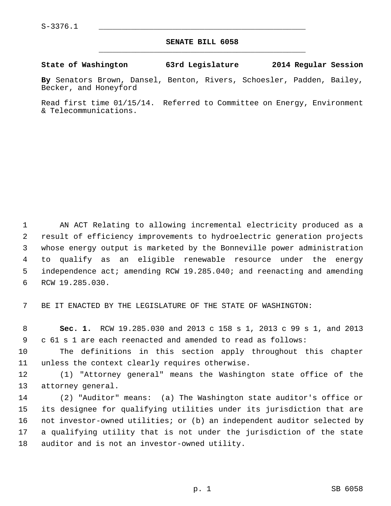## **SENATE BILL 6058** \_\_\_\_\_\_\_\_\_\_\_\_\_\_\_\_\_\_\_\_\_\_\_\_\_\_\_\_\_\_\_\_\_\_\_\_\_\_\_\_\_\_\_\_\_

**State of Washington 63rd Legislature 2014 Regular Session**

**By** Senators Brown, Dansel, Benton, Rivers, Schoesler, Padden, Bailey, Becker, and Honeyford

Read first time 01/15/14. Referred to Committee on Energy, Environment & Telecommunications.

 1 AN ACT Relating to allowing incremental electricity produced as a 2 result of efficiency improvements to hydroelectric generation projects 3 whose energy output is marketed by the Bonneville power administration 4 to qualify as an eligible renewable resource under the energy 5 independence act; amending RCW 19.285.040; and reenacting and amending 6 RCW 19.285.030.

7 BE IT ENACTED BY THE LEGISLATURE OF THE STATE OF WASHINGTON:

 8 **Sec. 1.** RCW 19.285.030 and 2013 c 158 s 1, 2013 c 99 s 1, and 2013 9 c 61 s 1 are each reenacted and amended to read as follows:

10 The definitions in this section apply throughout this chapter 11 unless the context clearly requires otherwise.

12 (1) "Attorney general" means the Washington state office of the 13 attorney general.

14 (2) "Auditor" means: (a) The Washington state auditor's office or 15 its designee for qualifying utilities under its jurisdiction that are 16 not investor-owned utilities; or (b) an independent auditor selected by 17 a qualifying utility that is not under the jurisdiction of the state 18 auditor and is not an investor-owned utility.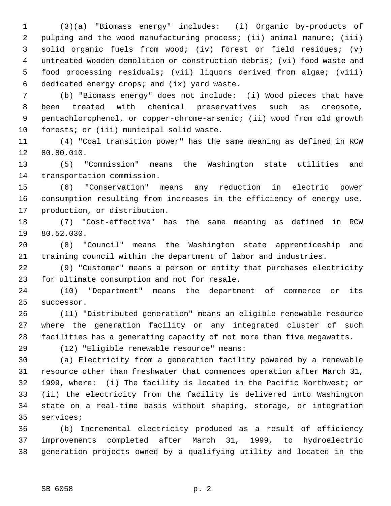1 (3)(a) "Biomass energy" includes: (i) Organic by-products of 2 pulping and the wood manufacturing process; (ii) animal manure; (iii) 3 solid organic fuels from wood; (iv) forest or field residues; (v) 4 untreated wooden demolition or construction debris; (vi) food waste and 5 food processing residuals; (vii) liquors derived from algae; (viii) 6 dedicated energy crops; and (ix) yard waste.

 7 (b) "Biomass energy" does not include: (i) Wood pieces that have 8 been treated with chemical preservatives such as creosote, 9 pentachlorophenol, or copper-chrome-arsenic; (ii) wood from old growth 10 forests; or (iii) municipal solid waste.

11 (4) "Coal transition power" has the same meaning as defined in RCW 12 80.80.010.

13 (5) "Commission" means the Washington state utilities and 14 transportation commission.

15 (6) "Conservation" means any reduction in electric power 16 consumption resulting from increases in the efficiency of energy use, 17 production, or distribution.

18 (7) "Cost-effective" has the same meaning as defined in RCW 19 80.52.030.

20 (8) "Council" means the Washington state apprenticeship and 21 training council within the department of labor and industries.

22 (9) "Customer" means a person or entity that purchases electricity 23 for ultimate consumption and not for resale.

24 (10) "Department" means the department of commerce or its 25 successor.

26 (11) "Distributed generation" means an eligible renewable resource 27 where the generation facility or any integrated cluster of such 28 facilities has a generating capacity of not more than five megawatts.

29 (12) "Eligible renewable resource" means:

30 (a) Electricity from a generation facility powered by a renewable 31 resource other than freshwater that commences operation after March 31, 32 1999, where: (i) The facility is located in the Pacific Northwest; or 33 (ii) the electricity from the facility is delivered into Washington 34 state on a real-time basis without shaping, storage, or integration 35 services;

36 (b) Incremental electricity produced as a result of efficiency 37 improvements completed after March 31, 1999, to hydroelectric 38 generation projects owned by a qualifying utility and located in the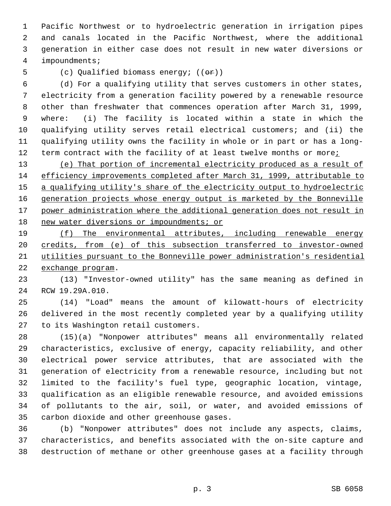1 Pacific Northwest or to hydroelectric generation in irrigation pipes 2 and canals located in the Pacific Northwest, where the additional 3 generation in either case does not result in new water diversions or 4 impoundments;

5 (c) Qualified biomass energy;  $((\theta \cdot \hat{r}))$ 

 6 (d) For a qualifying utility that serves customers in other states, 7 electricity from a generation facility powered by a renewable resource 8 other than freshwater that commences operation after March 31, 1999, 9 where: (i) The facility is located within a state in which the 10 qualifying utility serves retail electrical customers; and (ii) the 11 qualifying utility owns the facility in whole or in part or has a long-12 term contract with the facility of at least twelve months or more;

 (e) That portion of incremental electricity produced as a result of efficiency improvements completed after March 31, 1999, attributable to 15 a qualifying utility's share of the electricity output to hydroelectric generation projects whose energy output is marketed by the Bonneville power administration where the additional generation does not result in 18 new water diversions or impoundments; or

 (f) The environmental attributes, including renewable energy credits, from (e) of this subsection transferred to investor-owned utilities pursuant to the Bonneville power administration's residential exchange program.

23 (13) "Investor-owned utility" has the same meaning as defined in 24 RCW 19.29A.010.

25 (14) "Load" means the amount of kilowatt-hours of electricity 26 delivered in the most recently completed year by a qualifying utility 27 to its Washington retail customers.

28 (15)(a) "Nonpower attributes" means all environmentally related 29 characteristics, exclusive of energy, capacity reliability, and other 30 electrical power service attributes, that are associated with the 31 generation of electricity from a renewable resource, including but not 32 limited to the facility's fuel type, geographic location, vintage, 33 qualification as an eligible renewable resource, and avoided emissions 34 of pollutants to the air, soil, or water, and avoided emissions of 35 carbon dioxide and other greenhouse gases.

36 (b) "Nonpower attributes" does not include any aspects, claims, 37 characteristics, and benefits associated with the on-site capture and 38 destruction of methane or other greenhouse gases at a facility through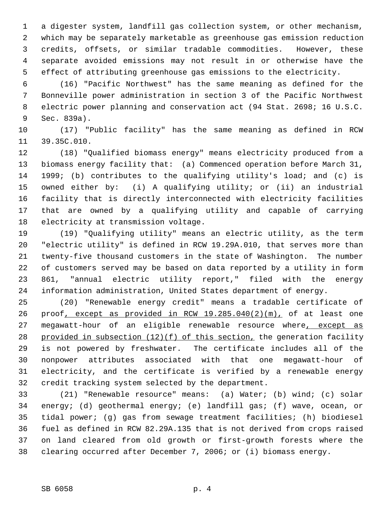1 a digester system, landfill gas collection system, or other mechanism, 2 which may be separately marketable as greenhouse gas emission reduction 3 credits, offsets, or similar tradable commodities. However, these 4 separate avoided emissions may not result in or otherwise have the 5 effect of attributing greenhouse gas emissions to the electricity.

 6 (16) "Pacific Northwest" has the same meaning as defined for the 7 Bonneville power administration in section 3 of the Pacific Northwest 8 electric power planning and conservation act (94 Stat. 2698; 16 U.S.C. 9 Sec. 839a).

10 (17) "Public facility" has the same meaning as defined in RCW 11 39.35C.010.

12 (18) "Qualified biomass energy" means electricity produced from a 13 biomass energy facility that: (a) Commenced operation before March 31, 14 1999; (b) contributes to the qualifying utility's load; and (c) is 15 owned either by: (i) A qualifying utility; or (ii) an industrial 16 facility that is directly interconnected with electricity facilities 17 that are owned by a qualifying utility and capable of carrying 18 electricity at transmission voltage.

19 (19) "Qualifying utility" means an electric utility, as the term 20 "electric utility" is defined in RCW 19.29A.010, that serves more than 21 twenty-five thousand customers in the state of Washington. The number 22 of customers served may be based on data reported by a utility in form 23 861, "annual electric utility report," filed with the energy 24 information administration, United States department of energy.

25 (20) "Renewable energy credit" means a tradable certificate of 26 proof, except as provided in RCW 19.285.040(2)(m), of at least one 27 megawatt-hour of an eligible renewable resource where, except as 28 provided in subsection (12)(f) of this section, the generation facility 29 is not powered by freshwater. The certificate includes all of the 30 nonpower attributes associated with that one megawatt-hour of 31 electricity, and the certificate is verified by a renewable energy 32 credit tracking system selected by the department.

33 (21) "Renewable resource" means: (a) Water; (b) wind; (c) solar 34 energy; (d) geothermal energy; (e) landfill gas; (f) wave, ocean, or 35 tidal power; (g) gas from sewage treatment facilities; (h) biodiesel 36 fuel as defined in RCW 82.29A.135 that is not derived from crops raised 37 on land cleared from old growth or first-growth forests where the 38 clearing occurred after December 7, 2006; or (i) biomass energy.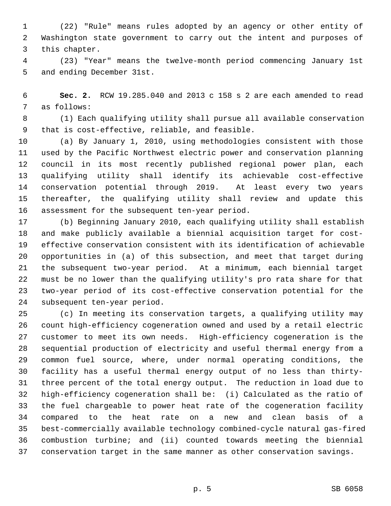1 (22) "Rule" means rules adopted by an agency or other entity of 2 Washington state government to carry out the intent and purposes of 3 this chapter.

 4 (23) "Year" means the twelve-month period commencing January 1st 5 and ending December 31st.

 6 **Sec. 2.** RCW 19.285.040 and 2013 c 158 s 2 are each amended to read 7 as follows:

 8 (1) Each qualifying utility shall pursue all available conservation 9 that is cost-effective, reliable, and feasible.

10 (a) By January 1, 2010, using methodologies consistent with those 11 used by the Pacific Northwest electric power and conservation planning 12 council in its most recently published regional power plan, each 13 qualifying utility shall identify its achievable cost-effective 14 conservation potential through 2019. At least every two years 15 thereafter, the qualifying utility shall review and update this 16 assessment for the subsequent ten-year period.

17 (b) Beginning January 2010, each qualifying utility shall establish 18 and make publicly available a biennial acquisition target for cost-19 effective conservation consistent with its identification of achievable 20 opportunities in (a) of this subsection, and meet that target during 21 the subsequent two-year period. At a minimum, each biennial target 22 must be no lower than the qualifying utility's pro rata share for that 23 two-year period of its cost-effective conservation potential for the 24 subsequent ten-year period.

25 (c) In meeting its conservation targets, a qualifying utility may 26 count high-efficiency cogeneration owned and used by a retail electric 27 customer to meet its own needs. High-efficiency cogeneration is the 28 sequential production of electricity and useful thermal energy from a 29 common fuel source, where, under normal operating conditions, the 30 facility has a useful thermal energy output of no less than thirty-31 three percent of the total energy output. The reduction in load due to 32 high-efficiency cogeneration shall be: (i) Calculated as the ratio of 33 the fuel chargeable to power heat rate of the cogeneration facility 34 compared to the heat rate on a new and clean basis of a 35 best-commercially available technology combined-cycle natural gas-fired 36 combustion turbine; and (ii) counted towards meeting the biennial 37 conservation target in the same manner as other conservation savings.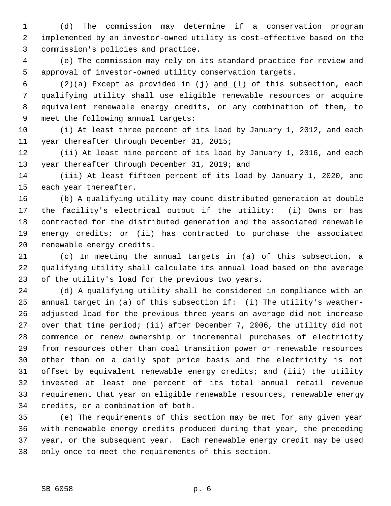1 (d) The commission may determine if a conservation program 2 implemented by an investor-owned utility is cost-effective based on the 3 commission's policies and practice.

 4 (e) The commission may rely on its standard practice for review and 5 approval of investor-owned utility conservation targets.

 6 (2)(a) Except as provided in (j) and (l) of this subsection, each 7 qualifying utility shall use eligible renewable resources or acquire 8 equivalent renewable energy credits, or any combination of them, to 9 meet the following annual targets:

10 (i) At least three percent of its load by January 1, 2012, and each 11 year thereafter through December 31, 2015;

12 (ii) At least nine percent of its load by January 1, 2016, and each 13 year thereafter through December 31, 2019; and

14 (iii) At least fifteen percent of its load by January 1, 2020, and 15 each year thereafter.

16 (b) A qualifying utility may count distributed generation at double 17 the facility's electrical output if the utility: (i) Owns or has 18 contracted for the distributed generation and the associated renewable 19 energy credits; or (ii) has contracted to purchase the associated 20 renewable energy credits.

21 (c) In meeting the annual targets in (a) of this subsection, a 22 qualifying utility shall calculate its annual load based on the average 23 of the utility's load for the previous two years.

24 (d) A qualifying utility shall be considered in compliance with an 25 annual target in (a) of this subsection if: (i) The utility's weather-26 adjusted load for the previous three years on average did not increase 27 over that time period; (ii) after December 7, 2006, the utility did not 28 commence or renew ownership or incremental purchases of electricity 29 from resources other than coal transition power or renewable resources 30 other than on a daily spot price basis and the electricity is not 31 offset by equivalent renewable energy credits; and (iii) the utility 32 invested at least one percent of its total annual retail revenue 33 requirement that year on eligible renewable resources, renewable energy 34 credits, or a combination of both.

35 (e) The requirements of this section may be met for any given year 36 with renewable energy credits produced during that year, the preceding 37 year, or the subsequent year. Each renewable energy credit may be used 38 only once to meet the requirements of this section.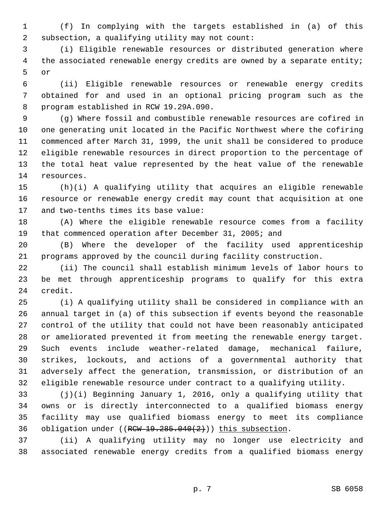1 (f) In complying with the targets established in (a) of this 2 subsection, a qualifying utility may not count:

 3 (i) Eligible renewable resources or distributed generation where 4 the associated renewable energy credits are owned by a separate entity; 5 or

 6 (ii) Eligible renewable resources or renewable energy credits 7 obtained for and used in an optional pricing program such as the 8 program established in RCW 19.29A.090.

 9 (g) Where fossil and combustible renewable resources are cofired in 10 one generating unit located in the Pacific Northwest where the cofiring 11 commenced after March 31, 1999, the unit shall be considered to produce 12 eligible renewable resources in direct proportion to the percentage of 13 the total heat value represented by the heat value of the renewable 14 resources.

15 (h)(i) A qualifying utility that acquires an eligible renewable 16 resource or renewable energy credit may count that acquisition at one 17 and two-tenths times its base value:

18 (A) Where the eligible renewable resource comes from a facility 19 that commenced operation after December 31, 2005; and

20 (B) Where the developer of the facility used apprenticeship 21 programs approved by the council during facility construction.

22 (ii) The council shall establish minimum levels of labor hours to 23 be met through apprenticeship programs to qualify for this extra 24 credit.

25 (i) A qualifying utility shall be considered in compliance with an 26 annual target in (a) of this subsection if events beyond the reasonable 27 control of the utility that could not have been reasonably anticipated 28 or ameliorated prevented it from meeting the renewable energy target. 29 Such events include weather-related damage, mechanical failure, 30 strikes, lockouts, and actions of a governmental authority that 31 adversely affect the generation, transmission, or distribution of an 32 eligible renewable resource under contract to a qualifying utility.

33 (j)(i) Beginning January 1, 2016, only a qualifying utility that 34 owns or is directly interconnected to a qualified biomass energy 35 facility may use qualified biomass energy to meet its compliance 36 obligation under  $((RCW 19.285.040(2)))$  this subsection.

37 (ii) A qualifying utility may no longer use electricity and 38 associated renewable energy credits from a qualified biomass energy